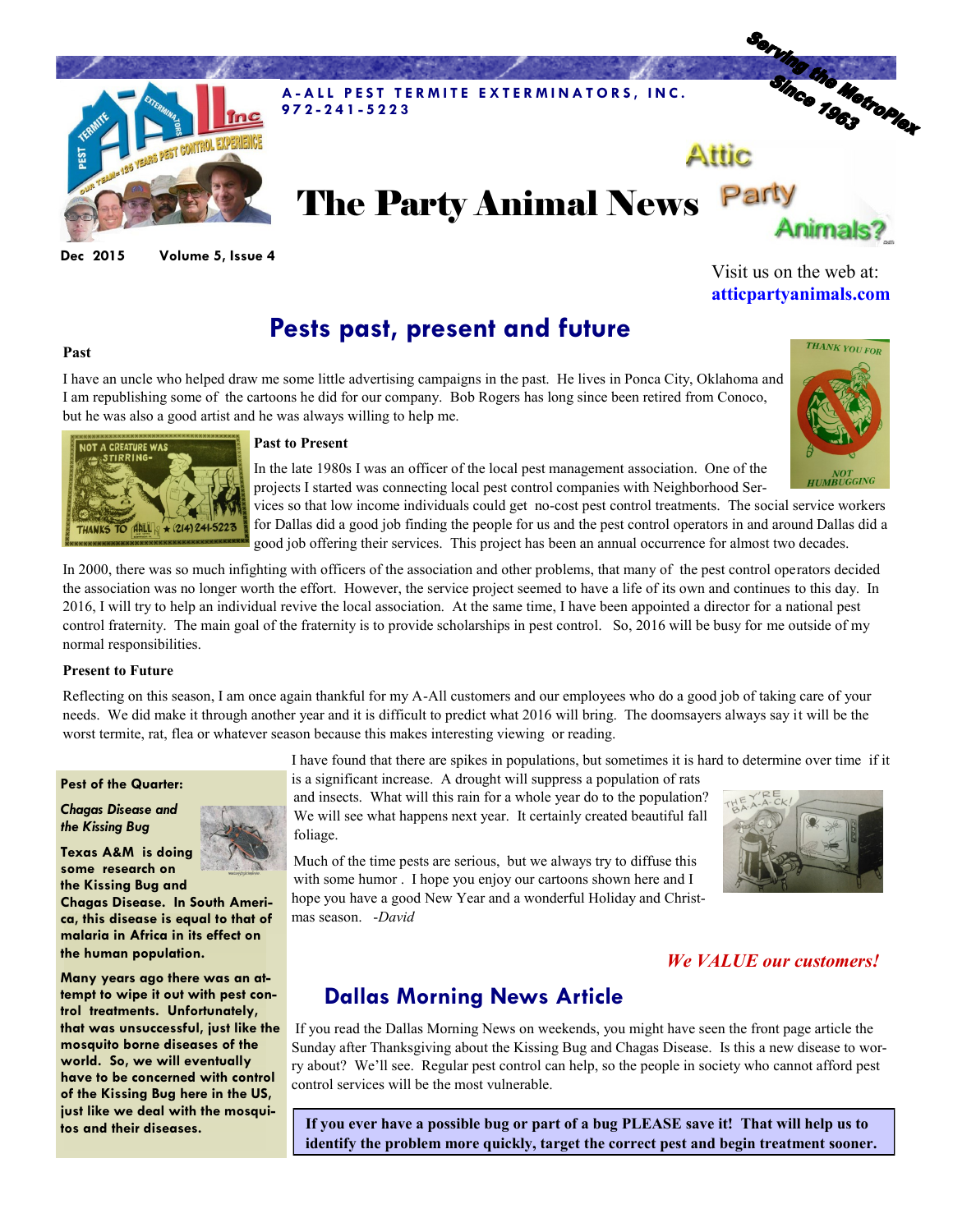

**Dec 2015 Volume 5, Issue 4**

# **Pests past, present and future**

### **Past**

I have an uncle who helped draw me some little advertising campaigns in the past. He lives in Ponca City, Oklahoma and I am republishing some of the cartoons he did for our company. Bob Rogers has long since been retired from Conoco, but he was also a good artist and he was always willing to help me.



Visit us on the web at: **atticpartyanimals.com**



#### **Past to Present**

In the late 1980s I was an officer of the local pest management association. One of the projects I started was connecting local pest control companies with Neighborhood Ser-

vices so that low income individuals could get no-cost pest control treatments. The social service workers for Dallas did a good job finding the people for us and the pest control operators in and around Dallas did a good job offering their services. This project has been an annual occurrence for almost two decades.

In 2000, there was so much infighting with officers of the association and other problems, that many of the pest control operators decided the association was no longer worth the effort. However, the service project seemed to have a life of its own and continues to this day. In 2016, I will try to help an individual revive the local association. At the same time, I have been appointed a director for a national pest control fraternity. The main goal of the fraternity is to provide scholarships in pest control. So, 2016 will be busy for me outside of my normal responsibilities.

#### **Present to Future**

Reflecting on this season, I am once again thankful for my A-All customers and our employees who do a good job of taking care of your needs. We did make it through another year and it is difficult to predict what 2016 will bring. The doomsayers always say it will be the worst termite, rat, flea or whatever season because this makes interesting viewing or reading.

I have found that there are spikes in populations, but sometimes it is hard to determine over time if it

### **Pest of the Quarter:** *Chagas Disease and*

**some research on** 

**the human population.** 

*the Kissing Bug* 



and insects. What will this rain for a whole year do to the population? We will see what happens next year. It certainly created beautiful fall foliage.

is a significant increase. A drought will suppress a population of rats

Much of the time pests are serious, but we always try to diffuse this with some humor . I hope you enjoy our cartoons shown here and I hope you have a good New Year and a wonderful Holiday and Christmas season. -*David* 



## *We VALUE our customers!*

## **Dallas Morning News Article**

If you read the Dallas Morning News on weekends, you might have seen the front page article the Sunday after Thanksgiving about the Kissing Bug and Chagas Disease. Is this a new disease to worry about? We'll see. Regular pest control can help, so the people in society who cannot afford pest control services will be the most vulnerable.

**If you ever have a possible bug or part of a bug PLEASE save it! That will help us to identify the problem more quickly, target the correct pest and begin treatment sooner.** 



**the Kissing Bug and Chagas Disease. In South America, this disease is equal to that of malaria in Africa in its effect on** 

**Many years ago there was an attempt to wipe it out with pest control treatments. Unfortunately, that was unsuccessful, just like the mosquito borne diseases of the world. So, we will eventually have to be concerned with control of the Kissing Bug here in the US, just like we deal with the mosquitos and their diseases.**